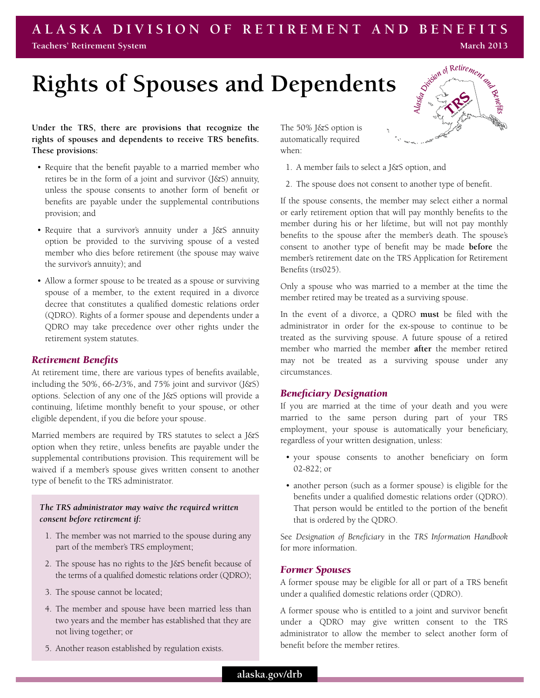#### **A l a s k a Division of Reti r ement a n d Benefits Teachers' Retirement System March 2013**

# **Rights of Spouses and Dependents**

## **Under the TRS, there are provisions that recognize the rights of spouses and dependents to receive TRS benefits. These provisions:**

- Require that the benefit payable to a married member who retires be in the form of a joint and survivor (J&S) annuity, unless the spouse consents to another form of benefit or benefits are payable under the supplemental contributions provision; and
- Require that a survivor's annuity under a J&S annuity option be provided to the surviving spouse of a vested member who dies before retirement (the spouse may waive the survivor's annuity); and
- Allow a former spouse to be treated as a spouse or surviving spouse of a member, to the extent required in a divorce decree that constitutes a qualified domestic relations order (QDRO). Rights of a former spouse and dependents under a QDRO may take precedence over other rights under the retirement system statutes.

#### *Retirement Benefits*

At retirement time, there are various types of benefits available, including the 50%, 66-2/3%, and 75% joint and survivor  $(J\&S)$ options. Selection of any one of the J&S options will provide a continuing, lifetime monthly benefit to your spouse, or other eligible dependent, if you die before your spouse.

Married members are required by TRS statutes to select a J&S option when they retire, unless benefits are payable under the supplemental contributions provision. This requirement will be waived if a member's spouse gives written consent to another type of benefit to the TRS administrator.

## *The TRS administrator may waive the required written consent before retirement if:*

- 1. The member was not married to the spouse during any part of the member's TRS employment;
- 2. The spouse has no rights to the J&S benefit because of the terms of a qualified domestic relations order (QDRO);
- 3. The spouse cannot be located;
- 4. The member and spouse have been married less than two years and the member has established that they are not living together; or
- 5. Another reason established by regulation exists.

The 50% J&S option is automatically required when:

- 1. A member fails to select a J&S option, and
- 2. The spouse does not consent to another type of benefit.

If the spouse consents, the member may select either a normal or early retirement option that will pay monthly benefits to the member during his or her lifetime, but will not pay monthly benefits to the spouse after the member's death. The spouse's consent to another type of benefit may be made **before** the member's retirement date on the TRS Application for Retirement Benefits (trs025).

Only a spouse who was married to a member at the time the member retired may be treated as a surviving spouse.

In the event of a divorce, a QDRO **must** be filed with the administrator in order for the ex-spouse to continue to be treated as the surviving spouse. A future spouse of a retired member who married the member **after** the member retired may not be treated as a surviving spouse under any circumstances.

### *Beneficiary Designation*

If you are married at the time of your death and you were married to the same person during part of your TRS employment, your spouse is automatically your beneficiary, regardless of your written designation, unless:

- • your spouse consents to another beneficiary on form 02-822; or
- another person (such as a former spouse) is eligible for the benefits under a qualified domestic relations order (QDRO). That person would be entitled to the portion of the benefit that is ordered by the QDRO.

See *Designation of Beneficiary* in the *TRS Information Handbook*  for more information.

#### *Former Spouses*

A former spouse may be eligible for all or part of a TRS benefit under a qualified domestic relations order (QDRO).

A former spouse who is entitled to a joint and survivor benefit under a QDRO may give written consent to the TRS administrator to allow the member to select another form of benefit before the member retires.